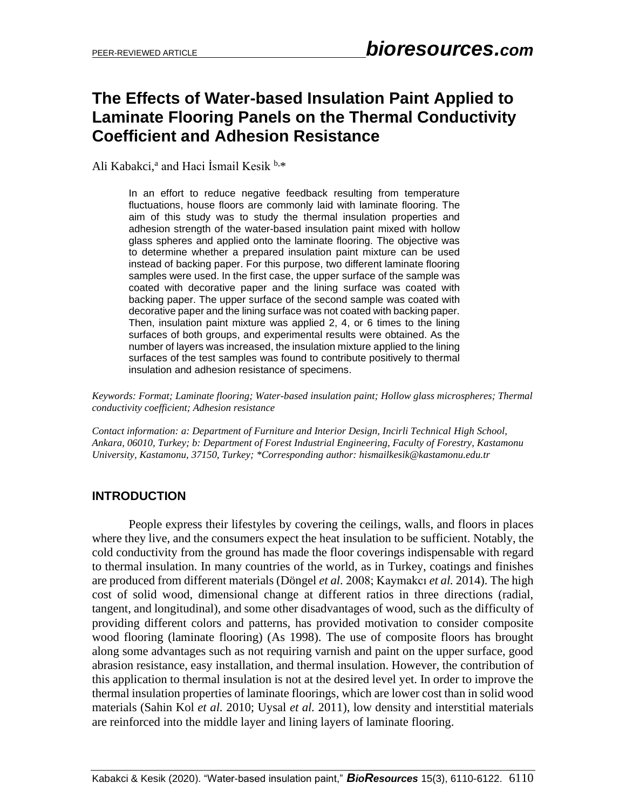# **The Effects of Water-based Insulation Paint Applied to Laminate Flooring Panels on the Thermal Conductivity Coefficient and Adhesion Resistance**

Ali Kabakci,<sup>a</sup> and Haci İsmail Kesik <sup>b,\*</sup>

In an effort to reduce negative feedback resulting from temperature fluctuations, house floors are commonly laid with laminate flooring. The aim of this study was to study the thermal insulation properties and adhesion strength of the water-based insulation paint mixed with hollow glass spheres and applied onto the laminate flooring. The objective was to determine whether a prepared insulation paint mixture can be used instead of backing paper. For this purpose, two different laminate flooring samples were used. In the first case, the upper surface of the sample was coated with decorative paper and the lining surface was coated with backing paper. The upper surface of the second sample was coated with decorative paper and the lining surface was not coated with backing paper. Then, insulation paint mixture was applied 2, 4, or 6 times to the lining surfaces of both groups, and experimental results were obtained. As the number of layers was increased, the insulation mixture applied to the lining surfaces of the test samples was found to contribute positively to thermal insulation and adhesion resistance of specimens.

*Keywords: Format; Laminate flooring; Water-based insulation paint; Hollow glass microspheres; Thermal conductivity coefficient; Adhesion resistance*

*Contact information: a: Department of Furniture and Interior Design, Incirli Technical High School, Ankara, 06010, Turkey; b: Department of Forest Industrial Engineering, Faculty of Forestry, Kastamonu University, Kastamonu, 37150, Turkey; \*Corresponding author: hismailkesik@kastamonu.edu.tr*

## **INTRODUCTION**

People express their lifestyles by covering the ceilings, walls, and floors in places where they live, and the consumers expect the heat insulation to be sufficient. Notably, the cold conductivity from the ground has made the floor coverings indispensable with regard to thermal insulation. In many countries of the world, as in Turkey, coatings and finishes are produced from different materials (Döngel *et al.* 2008; Kaymakcı *et al.* 2014). The high cost of solid wood, dimensional change at different ratios in three directions (radial, tangent, and longitudinal), and some other disadvantages of wood, such as the difficulty of providing different colors and patterns, has provided motivation to consider composite wood flooring (laminate flooring) (As 1998). The use of composite floors has brought along some advantages such as not requiring varnish and paint on the upper surface, good abrasion resistance, easy installation, and thermal insulation. However, the contribution of this application to thermal insulation is not at the desired level yet. In order to improve the thermal insulation properties of laminate floorings, which are lower cost than in solid wood materials (Sahin Kol *et al.* 2010; Uysal *et al.* 2011), low density and interstitial materials are reinforced into the middle layer and lining layers of laminate flooring.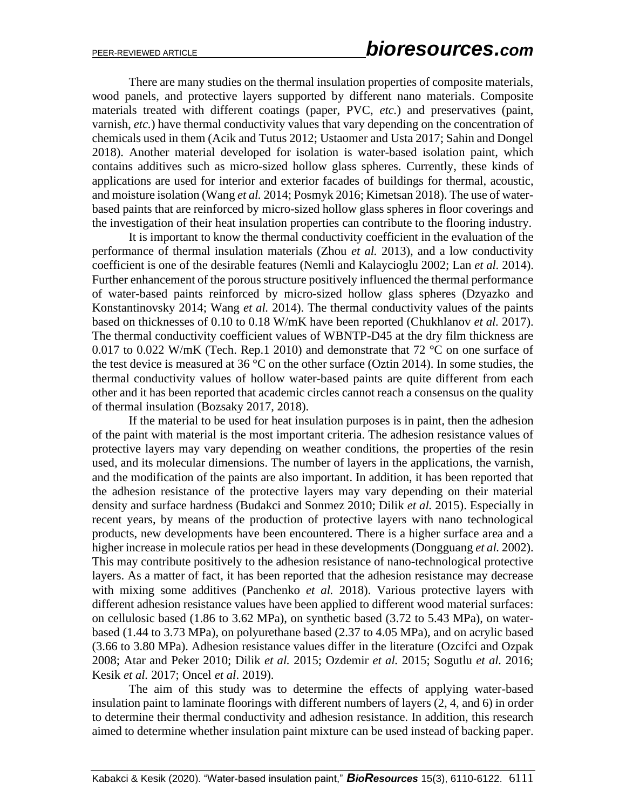There are many studies on the thermal insulation properties of composite materials, wood panels, and protective layers supported by different nano materials. Composite materials treated with different coatings (paper, PVC, *etc.*) and preservatives (paint, varnish, *etc.*) have thermal conductivity values that vary depending on the concentration of chemicals used in them (Acik and Tutus 2012; Ustaomer and Usta 2017; Sahin and Dongel 2018). Another material developed for isolation is water-based isolation paint, which contains additives such as micro-sized hollow glass spheres. Currently, these kinds of applications are used for interior and exterior facades of buildings for thermal, acoustic, and moisture isolation (Wang *et al.* 2014; Posmyk 2016; Kimetsan 2018). The use of waterbased paints that are reinforced by micro-sized hollow glass spheres in floor coverings and the investigation of their heat insulation properties can contribute to the flooring industry.

It is important to know the thermal conductivity coefficient in the evaluation of the performance of thermal insulation materials (Zhou *et al.* 2013), and a low conductivity coefficient is one of the desirable features (Nemli and Kalaycioglu 2002; Lan *et al.* 2014). Further enhancement of the porous structure positively influenced the thermal performance of water-based paints reinforced by micro-sized hollow glass spheres (Dzyazko and Konstantinovsky 2014; Wang *et al.* 2014). The thermal conductivity values of the paints based on thicknesses of 0.10 to 0.18 W/mK have been reported (Chukhlanov *et al.* 2017). The thermal conductivity coefficient values of WBNTP-D45 at the dry film thickness are 0.017 to 0.022 W/mK (Tech. Rep.1 2010) and demonstrate that  $72 \text{ °C}$  on one surface of the test device is measured at 36 °C on the other surface (Oztin 2014). In some studies, the thermal conductivity values of hollow water-based paints are quite different from each other and it has been reported that academic circles cannot reach a consensus on the quality of thermal insulation (Bozsaky 2017, 2018).

If the material to be used for heat insulation purposes is in paint, then the adhesion of the paint with material is the most important criteria. The adhesion resistance values of protective layers may vary depending on weather conditions, the properties of the resin used, and its molecular dimensions. The number of layers in the applications, the varnish, and the modification of the paints are also important. In addition, it has been reported that the adhesion resistance of the protective layers may vary depending on their material density and surface hardness (Budakci and Sonmez 2010; Dilik *et al.* 2015). Especially in recent years, by means of the production of protective layers with nano technological products, new developments have been encountered. There is a higher surface area and a higher increase in molecule ratios per head in these developments (Dongguang *et al.* 2002). This may contribute positively to the adhesion resistance of nano-technological protective layers. As a matter of fact, it has been reported that the adhesion resistance may decrease with mixing some additives (Panchenko *et al.* 2018). Various protective layers with different adhesion resistance values have been applied to different wood material surfaces: on cellulosic based (1.86 to 3.62 MPa), on synthetic based (3.72 to 5.43 MPa), on waterbased (1.44 to 3.73 MPa), on polyurethane based (2.37 to 4.05 MPa), and on acrylic based (3.66 to 3.80 MPa). Adhesion resistance values differ in the literature (Ozcifci and Ozpak 2008; Atar and Peker 2010; Dilik *et al.* 2015; Ozdemir *et al.* 2015; Sogutlu *et al.* 2016; Kesik *et al.* 2017; Oncel *et al*. 2019).

The aim of this study was to determine the effects of applying water-based insulation paint to laminate floorings with different numbers of layers (2, 4, and 6) in order to determine their thermal conductivity and adhesion resistance. In addition, this research aimed to determine whether insulation paint mixture can be used instead of backing paper.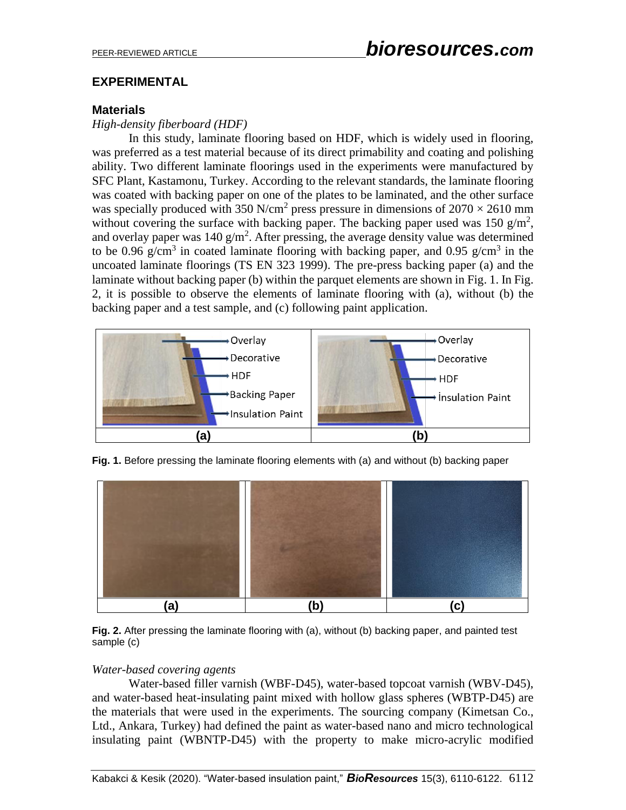## **EXPERIMENTAL**

### **Materials**

#### *High-density fiberboard (HDF)*

In this study, laminate flooring based on HDF, which is widely used in flooring, was preferred as a test material because of its direct primability and coating and polishing ability. Two different laminate floorings used in the experiments were manufactured by SFC Plant, Kastamonu, Turkey. According to the relevant standards, the laminate flooring was coated with backing paper on one of the plates to be laminated, and the other surface was specially produced with 350 N/cm<sup>2</sup> press pressure in dimensions of  $2070 \times 2610$  mm without covering the surface with backing paper. The backing paper used was 150  $g/m^2$ , and overlay paper was  $140 \text{ g/m}^2$ . After pressing, the average density value was determined to be 0.96 g/cm<sup>3</sup> in coated laminate flooring with backing paper, and 0.95 g/cm<sup>3</sup> in the uncoated laminate floorings (TS EN 323 1999). The pre-press backing paper (a) and the laminate without backing paper (b) within the parquet elements are shown in Fig. 1. In Fig. 2, it is possible to observe the elements of laminate flooring with (a), without (b) the backing paper and a test sample, and (c) following paint application.



**Fig. 1.** Before pressing the laminate flooring elements with (a) and without (b) backing paper



**Fig. 2.** After pressing the laminate flooring with (a), without (b) backing paper, and painted test sample (c)

#### *Water-based covering agents*

Water-based filler varnish (WBF-D45), water-based topcoat varnish (WBV-D45), and water-based heat-insulating paint mixed with hollow glass spheres (WBTP-D45) are the materials that were used in the experiments. The sourcing company (Kimetsan Co., Ltd., Ankara, Turkey) had defined the paint as water-based nano and micro technological insulating paint (WBNTP-D45) with the property to make micro-acrylic modified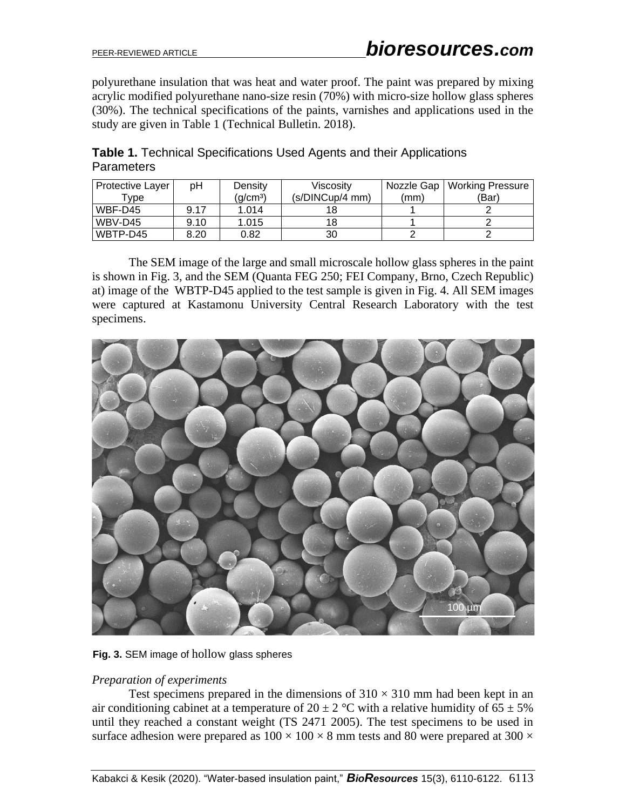polyurethane insulation that was heat and water proof. The paint was prepared by mixing acrylic modified polyurethane nano-size resin (70%) with micro-size hollow glass spheres (30%). The technical specifications of the paints, varnishes and applications used in the study are given in Table 1 (Technical Bulletin. 2018).

| <b>Protective Layer</b> | рH   | Density | Viscosity       | Nozzle Gap | <b>Working Pressure</b> |
|-------------------------|------|---------|-----------------|------------|-------------------------|
| $^{\mathsf{T}}$ vpe     |      | (g/cmª) | (s/DINCup/4 mm) | (mm)       | (Bar)                   |
| WBF-D45                 | 9.17 | 1.014   |                 |            |                         |
| WBV-D45                 | 9.10 | 1.015   | 18              |            |                         |
| WBTP-D45                | 8.20 | 0.82    | 30              |            |                         |

**Table 1.** Technical Specifications Used Agents and their Applications **Parameters** 

The SEM image of the large and small microscale hollow glass spheres in the paint is shown in Fig. 3, and the SEM (Quanta FEG 250; FEI Company, Brno, Czech Republic) at) image of the WBTP-D45 applied to the test sample is given in Fig. 4. All SEM images were captured at Kastamonu University Central Research Laboratory with the test specimens.





## *Preparation of experiments*

Test specimens prepared in the dimensions of  $310 \times 310$  mm had been kept in an air conditioning cabinet at a temperature of  $20 \pm 2$  °C with a relative humidity of 65  $\pm$  5% until they reached a constant weight (TS 2471 2005). The test specimens to be used in surface adhesion were prepared as  $100 \times 100 \times 8$  mm tests and 80 were prepared at 300  $\times$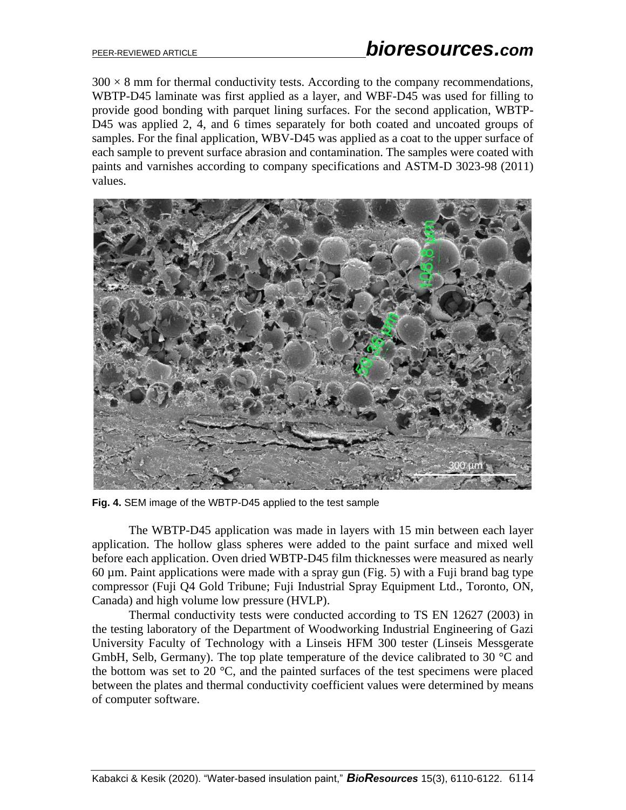$300 \times 8$  mm for thermal conductivity tests. According to the company recommendations, WBTP-D45 laminate was first applied as a layer, and WBF-D45 was used for filling to provide good bonding with parquet lining surfaces. For the second application, WBTP-D45 was applied 2, 4, and 6 times separately for both coated and uncoated groups of samples. For the final application, WBV-D45 was applied as a coat to the upper surface of each sample to prevent surface abrasion and contamination. The samples were coated with paints and varnishes according to company specifications and ASTM-D 3023-98 (2011) values.



**Fig. 4.** SEM image of the WBTP-D45 applied to the test sample

The WBTP-D45 application was made in layers with 15 min between each layer application. The hollow glass spheres were added to the paint surface and mixed well before each application. Oven dried WBTP-D45 film thicknesses were measured as nearly  $60 \mu$ m. Paint applications were made with a spray gun (Fig. 5) with a Fuji brand bag type compressor (Fuji Q4 Gold Tribune; Fuji Industrial Spray Equipment Ltd., Toronto, ON, Canada) and high volume low pressure (HVLP).

Thermal conductivity tests were conducted according to TS EN 12627 (2003) in the testing laboratory of the Department of Woodworking Industrial Engineering of Gazi University Faculty of Technology with a Linseis HFM 300 tester (Linseis Messgerate GmbH, Selb, Germany). The top plate temperature of the device calibrated to 30 °C and the bottom was set to 20 $\degree$ C, and the painted surfaces of the test specimens were placed between the plates and thermal conductivity coefficient values were determined by means of computer software.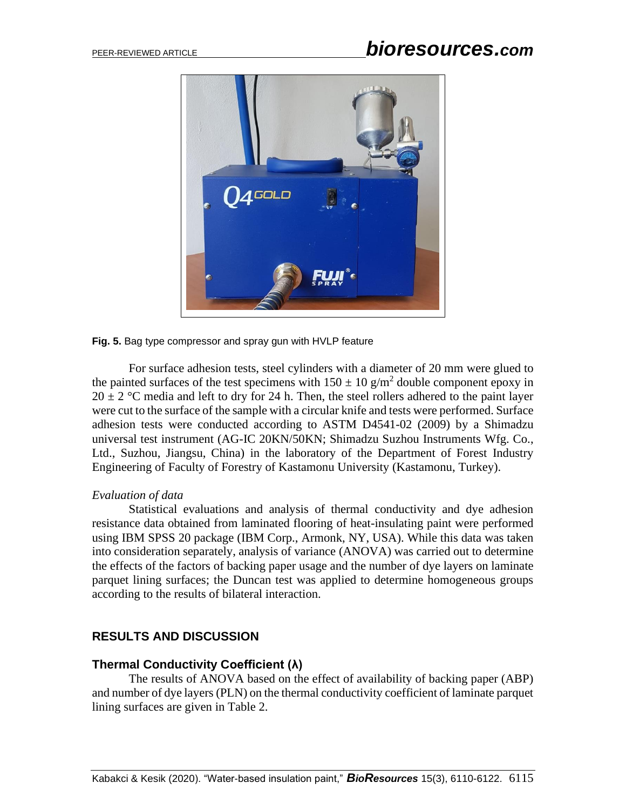

#### **Fig. 5.** Bag type compressor and spray gun with HVLP feature

For surface adhesion tests, steel cylinders with a diameter of 20 mm were glued to the painted surfaces of the test specimens with  $150 \pm 10$  g/m<sup>2</sup> double component epoxy in  $20 \pm 2$  °C media and left to dry for 24 h. Then, the steel rollers adhered to the paint layer were cut to the surface of the sample with a circular knife and tests were performed. Surface adhesion tests were conducted according to ASTM D4541-02 (2009) by a Shimadzu universal test instrument (AG-IC 20KN/50KN; Shimadzu Suzhou Instruments Wfg. Co., Ltd., Suzhou, Jiangsu, China) in the laboratory of the Department of Forest Industry Engineering of Faculty of Forestry of Kastamonu University (Kastamonu, Turkey).

#### *Evaluation of data*

Statistical evaluations and analysis of thermal conductivity and dye adhesion resistance data obtained from laminated flooring of heat-insulating paint were performed using IBM SPSS 20 package (IBM Corp., Armonk, NY, USA). While this data was taken into consideration separately, analysis of variance (ANOVA) was carried out to determine the effects of the factors of backing paper usage and the number of dye layers on laminate parquet lining surfaces; the Duncan test was applied to determine homogeneous groups according to the results of bilateral interaction.

# **RESULTS AND DISCUSSION**

## **Thermal Conductivity Coefficient (λ)**

The results of ANOVA based on the effect of availability of backing paper (ABP) and number of dye layers (PLN) on the thermal conductivity coefficient of laminate parquet lining surfaces are given in Table 2.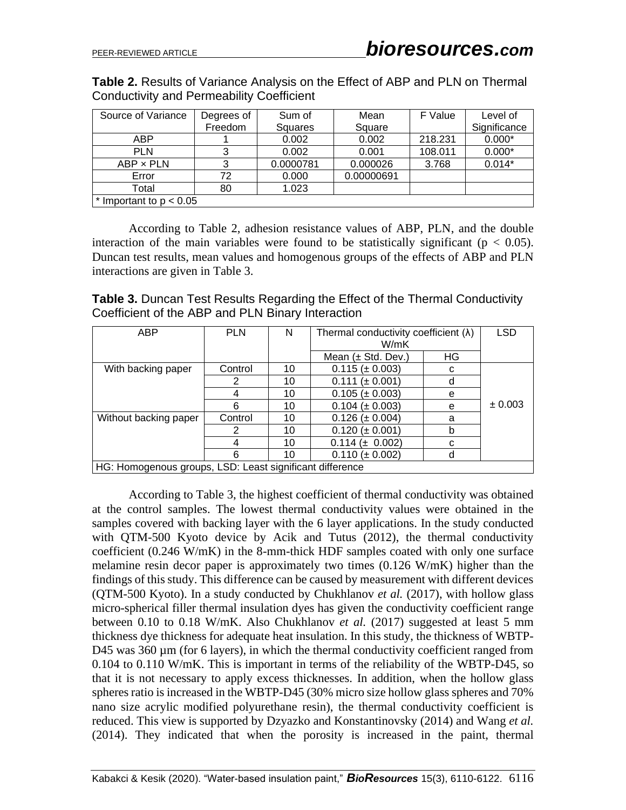**Table 2.** Results of Variance Analysis on the Effect of ABP and PLN on Thermal Conductivity and Permeability Coefficient

| Source of Variance        | Degrees of | Sum of    | Mean       | F Value | Level of     |  |
|---------------------------|------------|-----------|------------|---------|--------------|--|
|                           | Freedom    | Squares   | Square     |         | Significance |  |
| <b>ABP</b>                |            | 0.002     | 0.002      | 218.231 | $0.000*$     |  |
| <b>PLN</b>                | 3          | 0.002     | 0.001      | 108.011 | $0.000*$     |  |
| $ABP \times PLN$          | 3          | 0.0000781 | 0.000026   | 3.768   | $0.014*$     |  |
| Error                     | 72         | 0.000     | 0.00000691 |         |              |  |
| Total                     | 80         | 1.023     |            |         |              |  |
| * Important to $p < 0.05$ |            |           |            |         |              |  |

According to Table 2, adhesion resistance values of ABP, PLN, and the double interaction of the main variables were found to be statistically significant ( $p < 0.05$ ). Duncan test results, mean values and homogenous groups of the effects of ABP and PLN interactions are given in Table 3.

**Table 3.** Duncan Test Results Regarding the Effect of the Thermal Conductivity Coefficient of the ABP and PLN Binary Interaction

| <b>ABP</b>                                               | <b>PLN</b> | N  | Thermal conductivity coefficient $(\lambda)$ |    | <b>LSD</b> |  |
|----------------------------------------------------------|------------|----|----------------------------------------------|----|------------|--|
|                                                          |            |    | W/mK                                         |    |            |  |
|                                                          |            |    | Mean $(\pm$ Std. Dev.)                       | ΗG |            |  |
| With backing paper                                       | Control    | 10 | $0.115 (\pm 0.003)$                          | C  |            |  |
|                                                          | 2          | 10 | 0.111<br>$(\pm 0.001)$                       | d  |            |  |
|                                                          | 4          | 10 | $0.105 (\pm 0.003)$                          | e  |            |  |
|                                                          | 6          | 10 | $0.104 \ (\pm 0.003)$                        | e  | ± 0.003    |  |
| Without backing paper                                    | Control    | 10 | $0.126 (\pm 0.004)$                          | a  |            |  |
|                                                          | 2          | 10 | $0.120 (\pm 0.001)$                          |    |            |  |
|                                                          | 4          | 10 | $0.114 \ (\pm 0.002)$                        | С  |            |  |
|                                                          | 6          | 10 | $0.110 \ (\pm 0.002)$                        | d  |            |  |
| HG: Homogenous groups, LSD: Least significant difference |            |    |                                              |    |            |  |

According to Table 3, the highest coefficient of thermal conductivity was obtained at the control samples. The lowest thermal conductivity values were obtained in the samples covered with backing layer with the 6 layer applications. In the study conducted with QTM-500 Kyoto device by Acik and Tutus (2012), the thermal conductivity coefficient (0.246 W/mK) in the 8-mm-thick HDF samples coated with only one surface melamine resin decor paper is approximately two times (0.126 W/mK) higher than the findings of this study. This difference can be caused by measurement with different devices (QTM-500 Kyoto). In a study conducted by Chukhlanov *et al.* (2017), with hollow glass micro-spherical filler thermal insulation dyes has given the conductivity coefficient range between 0.10 to 0.18 W/mK. Also Chukhlanov *et al.* (2017) suggested at least 5 mm thickness dye thickness for adequate heat insulation. In this study, the thickness of WBTP-D45 was 360  $\mu$ m (for 6 layers), in which the thermal conductivity coefficient ranged from 0.104 to 0.110 W/mK. This is important in terms of the reliability of the WBTP-D45, so that it is not necessary to apply excess thicknesses. In addition, when the hollow glass spheres ratio is increased in the WBTP-D45 (30% micro size hollow glass spheres and 70% nano size acrylic modified polyurethane resin), the thermal conductivity coefficient is reduced. This view is supported by Dzyazko and Konstantinovsky (2014) and Wang *et al.* (2014). They indicated that when the porosity is increased in the paint, thermal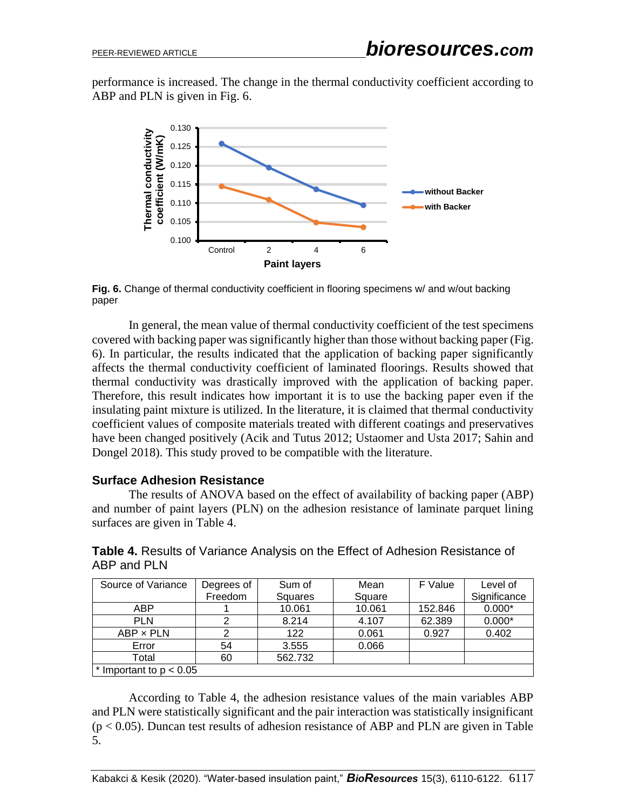performance is increased. The change in the thermal conductivity coefficient according to ABP and PLN is given in Fig. 6.



**Fig. 6.** Change of thermal conductivity coefficient in flooring specimens w/ and w/out backing paper

In general, the mean value of thermal conductivity coefficient of the test specimens covered with backing paper was significantly higher than those without backing paper (Fig. 6). In particular, the results indicated that the application of backing paper significantly affects the thermal conductivity coefficient of laminated floorings. Results showed that thermal conductivity was drastically improved with the application of backing paper. Therefore, this result indicates how important it is to use the backing paper even if the insulating paint mixture is utilized. In the literature, it is claimed that thermal conductivity coefficient values of composite materials treated with different coatings and preservatives have been changed positively (Acik and Tutus 2012; Ustaomer and Usta 2017; Sahin and Dongel 2018). This study proved to be compatible with the literature.

#### **Surface Adhesion Resistance**

The results of ANOVA based on the effect of availability of backing paper (ABP) and number of paint layers (PLN) on the adhesion resistance of laminate parquet lining surfaces are given in Table 4.

**Table 4.** Results of Variance Analysis on the Effect of Adhesion Resistance of ABP and PLN

| Source of Variance        | Degrees of | Sum of  | Mean   | F Value | Level of     |
|---------------------------|------------|---------|--------|---------|--------------|
|                           | Freedom    | Squares | Square |         | Significance |
| ABP                       |            | 10.061  | 10.061 | 152.846 | $0.000*$     |
| <b>PLN</b>                |            | 8.214   | 4.107  | 62.389  | $0.000*$     |
| ABP x PLN                 |            | 122     | 0.061  | 0.927   | 0.402        |
| Error                     | 54         | 3.555   | 0.066  |         |              |
| Total                     | 60         | 562.732 |        |         |              |
| * Important to $p < 0.05$ |            |         |        |         |              |

According to Table 4, the adhesion resistance values of the main variables ABP and PLN were statistically significant and the pair interaction was statistically insignificant  $(p < 0.05)$ . Duncan test results of adhesion resistance of ABP and PLN are given in Table 5.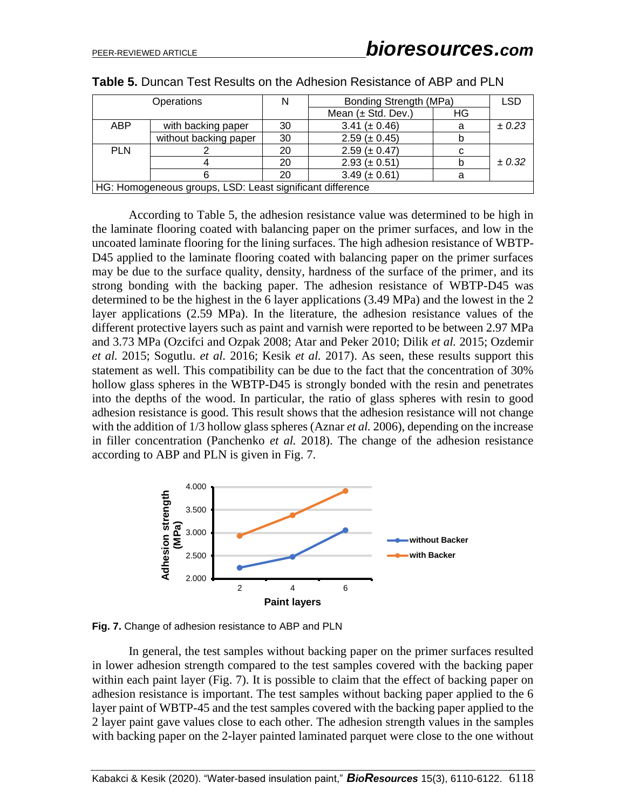| Operations                                                |                       |    | Bonding Strength (MPa) |    | <b>LSD</b> |  |
|-----------------------------------------------------------|-----------------------|----|------------------------|----|------------|--|
|                                                           |                       |    | Mean $(\pm$ Std. Dev.) | HG |            |  |
| <b>ABP</b>                                                | with backing paper    | 30 | 3.41 ( $\pm$ 0.46)     | a  | ± 0.23     |  |
|                                                           | without backing paper | 30 | $2.59 (\pm 0.45)$      | b  |            |  |
| <b>PLN</b>                                                |                       | 20 | $2.59 (\pm 0.47)$      | C  |            |  |
|                                                           |                       | 20 | $2.93 (\pm 0.51)$      | b  | $\pm 0.32$ |  |
|                                                           |                       | 20 | $3.49 (\pm 0.61)$      | а  |            |  |
| HG: Homogeneous groups, LSD: Least significant difference |                       |    |                        |    |            |  |

According to Table 5, the adhesion resistance value was determined to be high in the laminate flooring coated with balancing paper on the primer surfaces, and low in the uncoated laminate flooring for the lining surfaces. The high adhesion resistance of WBTP-D45 applied to the laminate flooring coated with balancing paper on the primer surfaces may be due to the surface quality, density, hardness of the surface of the primer, and its strong bonding with the backing paper. The adhesion resistance of WBTP-D45 was determined to be the highest in the 6 layer applications (3.49 MPa) and the lowest in the 2 layer applications (2.59 MPa). In the literature, the adhesion resistance values of the different protective layers such as paint and varnish were reported to be between 2.97 MPa and 3.73 MPa (Ozcifci and Ozpak 2008; Atar and Peker 2010; Dilik *et al.* 2015; Ozdemir *et al.* 2015; Sogutlu. *et al.* 2016; Kesik *et al.* 2017). As seen, these results support this statement as well. This compatibility can be due to the fact that the concentration of 30% hollow glass spheres in the WBTP-D45 is strongly bonded with the resin and penetrates into the depths of the wood. In particular, the ratio of glass spheres with resin to good adhesion resistance is good. This result shows that the adhesion resistance will not change with the addition of 1/3 hollow glass spheres (Aznar *et al.* 2006), depending on the increase in filler concentration (Panchenko *et al.* 2018). The change of the adhesion resistance according to ABP and PLN is given in Fig. 7.



**Fig. 7.** Change of adhesion resistance to ABP and PLN

In general, the test samples without backing paper on the primer surfaces resulted in lower adhesion strength compared to the test samples covered with the backing paper within each paint layer (Fig. 7). It is possible to claim that the effect of backing paper on adhesion resistance is important. The test samples without backing paper applied to the 6 layer paint of WBTP-45 and the test samples covered with the backing paper applied to the 2 layer paint gave values close to each other. The adhesion strength values in the samples with backing paper on the 2-layer painted laminated parquet were close to the one without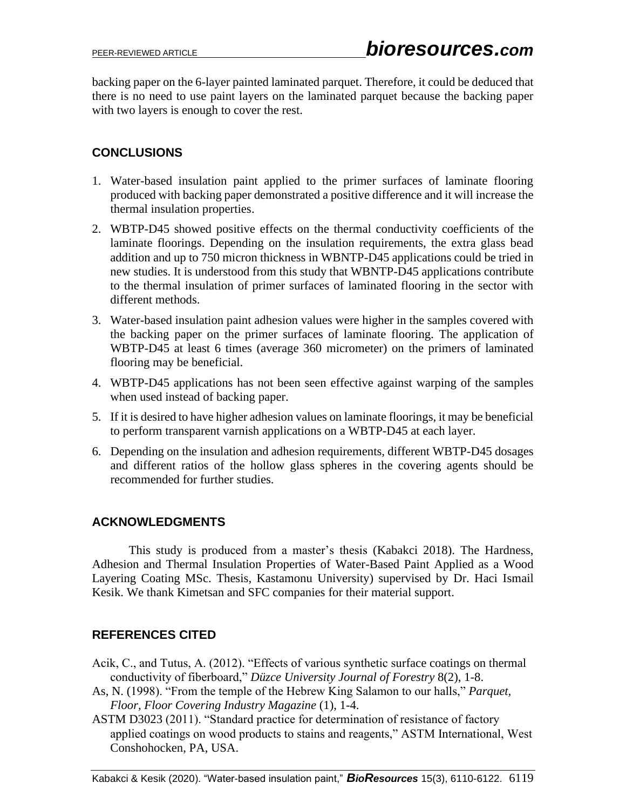backing paper on the 6-layer painted laminated parquet. Therefore, it could be deduced that there is no need to use paint layers on the laminated parquet because the backing paper with two layers is enough to cover the rest.

# **CONCLUSIONS**

- 1. Water-based insulation paint applied to the primer surfaces of laminate flooring produced with backing paper demonstrated a positive difference and it will increase the thermal insulation properties.
- 2. WBTP-D45 showed positive effects on the thermal conductivity coefficients of the laminate floorings. Depending on the insulation requirements, the extra glass bead addition and up to 750 micron thickness in WBNTP-D45 applications could be tried in new studies. It is understood from this study that WBNTP-D45 applications contribute to the thermal insulation of primer surfaces of laminated flooring in the sector with different methods.
- 3. Water-based insulation paint adhesion values were higher in the samples covered with the backing paper on the primer surfaces of laminate flooring. The application of WBTP-D45 at least 6 times (average 360 micrometer) on the primers of laminated flooring may be beneficial.
- 4. WBTP-D45 applications has not been seen effective against warping of the samples when used instead of backing paper.
- 5. If it is desired to have higher adhesion values on laminate floorings, it may be beneficial to perform transparent varnish applications on a WBTP-D45 at each layer.
- 6. Depending on the insulation and adhesion requirements, different WBTP-D45 dosages and different ratios of the hollow glass spheres in the covering agents should be recommended for further studies.

# **ACKNOWLEDGMENTS**

This study is produced from a master's thesis (Kabakci 2018). The Hardness, Adhesion and Thermal Insulation Properties of Water-Based Paint Applied as a Wood Layering Coating MSc. Thesis, Kastamonu University) supervised by Dr. Haci Ismail Kesik. We thank Kimetsan and SFC companies for their material support.

# **REFERENCES CITED**

- Acik, C., and Tutus, A. (2012). "Effects of various synthetic surface coatings on thermal conductivity of fiberboard," *Düzce University Journal of Forestry* 8(2), 1-8.
- As, N. (1998). "From the temple of the Hebrew King Salamon to our halls," *Parquet, Floor, Floor Covering Industry Magazine* (1), 1-4.
- ASTM D3023 (2011). "Standard practice for determination of resistance of factory applied coatings on wood products to stains and reagents," ASTM International, West Conshohocken, PA, USA.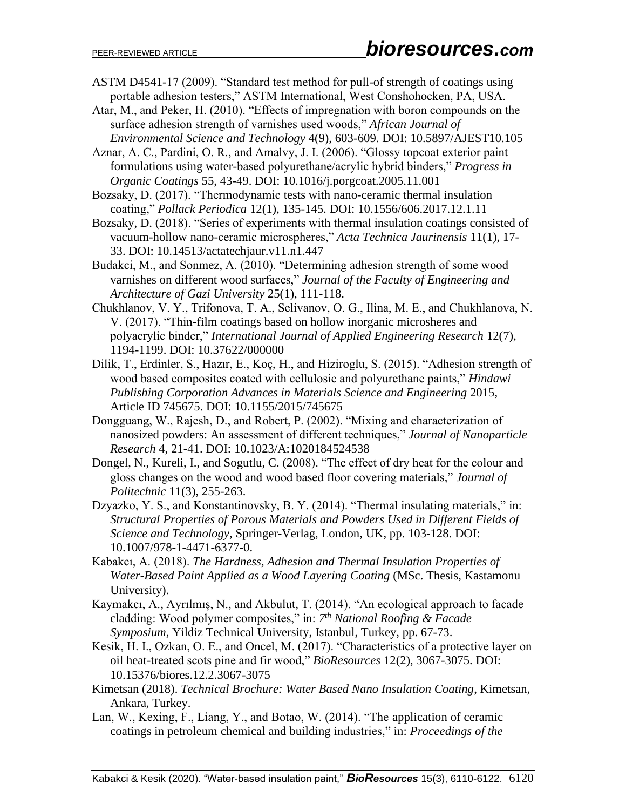- ASTM D4541-17 (2009). "Standard test method for pull-of strength of coatings using portable adhesion testers," ASTM International, West Conshohocken, PA, USA.
- Atar, M., and Peker, H. (2010). "Effects of impregnation with boron compounds on the surface adhesion strength of varnishes used woods," *African Journal of Environmental Science and Technology* 4(9), 603-609. DOI: 10.5897/AJEST10.105

Aznar, A. C., Pardini, O. R., and Amalvy, J. I. (2006). "Glossy topcoat exterior paint formulations using water-based polyurethane/acrylic hybrid binders," *Progress in Organic Coatings* 55, 43-49. DOI: 10.1016/j.porgcoat.2005.11.001

Bozsaky, D. (2017). "Thermodynamic tests with nano-ceramic thermal insulation coating," *Pollack Periodica* 12(1), 135-145. DOI: 10.1556/606.2017.12.1.11

Bozsaky, D. (2018). "Series of experiments with thermal insulation coatings consisted of vacuum-hollow nano-ceramic microspheres," *Acta Technica Jaurinensis* 11(1), 17- 33. DOI: 10.14513/actatechjaur.v11.n1.447

Budakci, M., and Sonmez, A. (2010). "Determining adhesion strength of some wood varnishes on different wood surfaces," *Journal of the Faculty of Engineering and Architecture of Gazi University* 25(1), 111-118.

- Chukhlanov, V. Y., Trifonova, T. A., Selivanov, O. G., Ilinа, M. E., and Chukhlanova, N. V. (2017). "Thin-film coatings based on hollow inorganic microsheres and polyacrylic binder," *International Journal of Applied Engineering Research* 12(7), 1194-1199. DOI: 10.37622/000000
- Dilik, T., Erdinler, S., Hazır, E., Koç, H., and Hiziroglu, S. (2015). "Adhesion strength of wood based composites coated with cellulosic and polyurethane paints," *Hindawi Publishing Corporation Advances in Materials Science and Engineering* 2015, Article ID 745675. [DOI: 10.1155/2015/745675](http://dx.doi.org/10.1155/2015/745675)
- Dongguang, W., Rajesh, D., and Robert, P. (2002). "Mixing and characterization of nanosized powders: An assessment of different techniques," *Journal of Nanoparticle Research* 4, 21-41. DOI: 10.1023/A:1020184524538
- Dongel, N., Kureli, I., and Sogutlu, C. (2008). "The effect of dry heat for the colour and gloss changes on the wood and wood based floor covering materials," *Journal of Politechnic* 11(3), 255-263.
- Dzyazko, Y. S., and Konstantinovsky, B. Y. (2014). "Thermal insulating materials," in: *Structural Properties of Porous Materials and Powders Used in Different Fields of Science and Technology*, Springer-Verlag, London, UK, pp. 103-128. DOI: 10.1007/978-1-4471-6377-0.
- Kabakcı, A. (2018). *The Hardness, Adhesion and Thermal Insulation Properties of Water-Based Paint Applied as a Wood Layering Coating* (MSc. Thesis, Kastamonu University).
- Kaymakcı, A., Ayrılmış, N., and Akbulut, T. (2014). "An ecological approach to facade cladding: Wood polymer composites," in: *7 th National Roofing & Facade Symposium*, Yildiz Technical University, Istanbul, Turkey, pp. 67-73.
- Kesik, H. I., Ozkan, O. E., and Oncel, M. (2017). "Characteristics of a protective layer on oil heat-treated scots pine and fir wood," *BioResources* 12(2), 3067-3075. DOI: 10.15376/biores.12.2.3067-3075
- Kimetsan (2018). *Technical Brochure: Water Based Nano Insulation Coating*, Kimetsan, Ankara, Turkey.
- Lan, W., Kexing, F., Liang, Y., and Botao, W. (2014). "The application of ceramic coatings in petroleum chemical and building industries," in: *Proceedings of the*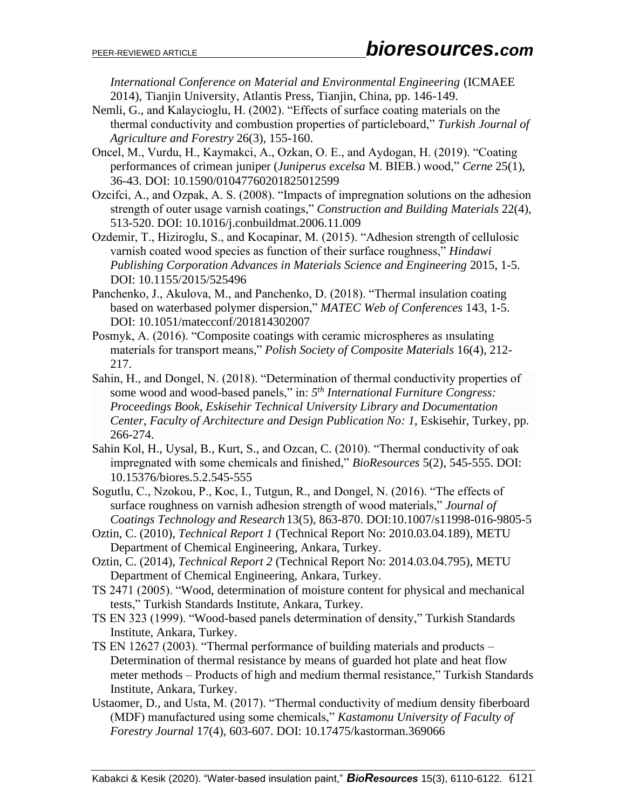*International Conference on Material and Environmental Engineering* (ICMAEE 2014), Tianjin University, Atlantis Press, Tianjin, China, pp. 146-149.

- Nemli, G., and Kalaycioglu, H. (2002). "Effects of surface coating materials on the thermal conductivity and combustion properties of particleboard," *Turkish Journal of Agriculture and Forestry* 26(3), 155-160.
- Oncel, M., Vurdu, H., Kaymakci, A., Ozkan, O. E., and Aydogan, H. (2019). "Coating performances of crimean juniper (*Juniperus excelsa* M. BIEB.) wood," *Cerne* 25(1), 36-43. DOI: 10.1590/01047760201825012599
- Ozcifci, A., and Ozpak, A. S. (2008). "Impacts of impregnation solutions on the adhesion strength of outer usage varnish coatings," *Construction and Building Materials* 22(4), 513-520. DOI: 10.1016/j.conbuildmat.2006.11.009
- Ozdemir, T., Hiziroglu, S., and Kocapinar, M. (2015). "Adhesion strength of cellulosic varnish coated wood species as function of their surface roughness," *Hindawi Publishing Corporation Advances in Materials Science and Engineering* 2015, 1-5. [DOI: 10.1155/2015/525496](http://dx.doi.org/10.1155/2015/525496)
- Panchenko, J., Akulova, M., and Panchenko, D. (2018). "Thermal insulation coating based on waterbased polymer dispersion," *MATEC Web of Conferences* 143, 1-5. [DOI:](https://www.matecconferences.org/articles/matecconf/pdf/2018/02matecconf_yssip%202017_02007.pdf) 10.1051/matecconf/201814302007
- Posmyk, A. (2016). "Composite coatings with ceramic microspheres as ınsulating materials for transport means," *Polish Society of Composite Materials* 16(4), 212- 217.
- Sahin, H., and Dongel, N. (2018). "Determination of thermal conductivity properties of some wood and wood-based panels," in: *5 th International Furniture Congress: Proceedings Book, Eskisehir Technical University Library and Documentation Center, Faculty of Architecture and Design Publication No: 1*, Eskisehir, Turkey, pp. 266-274.
- Sahin Kol, H., Uysal, B., Kurt, S., and Ozcan, C. (2010). "Thermal conductivity of oak impregnated with some chemicals and finished," *BioResources* 5(2), 545-555. DOI: 10.15376/biores.5.2.545-555
- Sogutlu, C., Nzokou, P., Koc, I., Tutgun, R., and Dongel, N. (2016). "The effects of surface roughness on varnish adhesion strength of wood materials," *Journal of Coatings Technology and Research* 13(5), 863-870. DOI:10.1007/s11998-016-9805-5
- Oztin, C. (2010), *Technical Report 1* (Technical Report No: 2010.03.04.189), METU Department of Chemical Engineering, Ankara, Turkey.
- Oztin, C. (2014), *Technical Report 2* (Technical Report No: 2014.03.04.795), METU Department of Chemical Engineering, Ankara, Turkey.
- TS 2471 (2005). "Wood, determination of moisture content for physical and mechanical tests," Turkish Standards Institute, Ankara, Turkey.
- TS EN 323 (1999). "Wood-based panels determination of density," Turkish Standards Institute, Ankara, Turkey.
- TS EN 12627 (2003). "Thermal performance of building materials and products Determination of thermal resistance by means of guarded hot plate and heat flow meter methods – Products of high and medium thermal resistance," Turkish Standards Institute*,* Ankara, Turkey.
- Ustaomer, D., and Usta, M. (2017). "Thermal conductivity of medium density fiberboard (MDF) manufactured using some chemicals," *Kastamonu University of Faculty of Forestry Journal* 17(4), 603-607. DOI: 10.17475/kastorman.369066